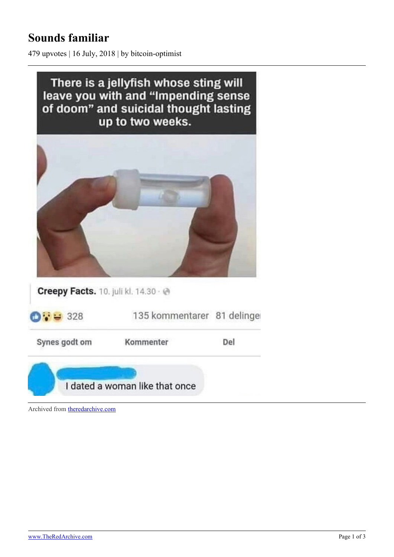## **Sounds familiar**

479 upvotes | 16 July, 2018 | by bitcoin-optimist



Archived from [theredarchive.com](https://theredarchive.com/r/MGTOW/sounds-familiar.524619)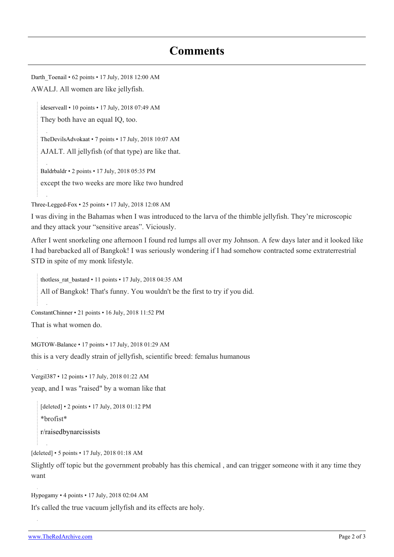## **Comments**

Darth Toenail • 62 points • 17 July, 2018 12:00 AM AWALJ. All women are like jellyfish.

[ideserveall](https://old.reddit.com/user/ideserveall) • 10 points • 17 July, 2018 07:49 AM They both have an equal IQ, too.

[TheDevilsAdvokaat](https://old.reddit.com/user/TheDevilsAdvokaat) • 7 points • 17 July, 2018 10:07 AM AJALT. All jellyfish (of that type) are like that.

[Baldrbaldr](https://old.reddit.com/user/Baldrbaldr) • 2 points • 17 July, 2018 05:35 PM except the two weeks are more like two hundred

[Three-Legged-Fox](https://old.reddit.com/user/Three-Legged-Fox) • 25 points • 17 July, 2018 12:08 AM

I was diving in the Bahamas when I was introduced to the larva of the thimble jellyfish. They're microscopic and they attack your "sensitive areas". Viciously.

After I went snorkeling one afternoon I found red lumps all over my Johnson. A few days later and it looked like I had barebacked all of Bangkok! I was seriously wondering if I had somehow contracted some extraterrestrial STD in spite of my monk lifestyle.

[thotless\\_rat\\_bastard](https://old.reddit.com/user/thotless_rat_bastard) • 11 points • 17 July, 2018 04:35 AM All of Bangkok! That's funny. You wouldn't be the first to try if you did.

```
ConstantChinner • 21 points • 16 July, 2018 11:52 PM
```
That is what women do.

[MGTOW-Balance](https://old.reddit.com/user/MGTOW-Balance) • 17 points • 17 July, 2018 01:29 AM this is a very deadly strain of jellyfish, scientific breed: femalus humanous

[Vergil387](https://old.reddit.com/user/Vergil387) • 12 points • 17 July, 2018 01:22 AM yeap, and I was "raised" by a woman like that

```
[deleted] • 2 points • 17 July, 2018 01:12 PM
*brofist*
r/raisedbynarcissists
```
[deleted] • 5 points • 17 July, 2018 01:18 AM

Slightly off topic but the government probably has this chemical , and can trigger someone with it any time they want

[Hypogamy](https://old.reddit.com/user/Hypogamy) • 4 points • 17 July, 2018 02:04 AM

It's called the true vacuum jellyfish and its effects are holy.